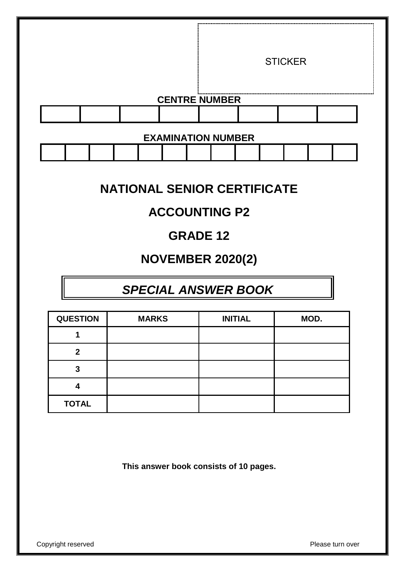|  |  | <b>CENTRE NUMBER</b>      | <b>STICKER</b> |  |
|--|--|---------------------------|----------------|--|
|  |  |                           |                |  |
|  |  |                           |                |  |
|  |  | <b>EXAMINATION NUMBER</b> |                |  |

# **NATIONAL SENIOR CERTIFICATE**

# **ACCOUNTING P2**

# **GRADE 12**

# **NOVEMBER 2020(2)**

# *SPECIAL ANSWER BOOK*

| <b>QUESTION</b> | <b>MARKS</b> | <b>INITIAL</b> | MOD. |
|-----------------|--------------|----------------|------|
|                 |              |                |      |
| 2               |              |                |      |
| 3               |              |                |      |
|                 |              |                |      |
| <b>TOTAL</b>    |              |                |      |

**This answer book consists of 10 pages.**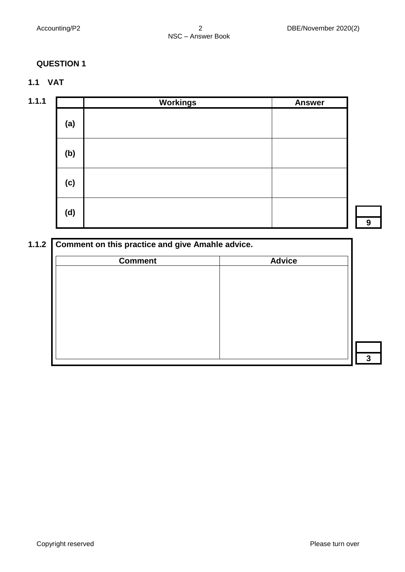## **1.1 VAT**

| 1.1.1 |     | <b>Workings</b> | <b>Answer</b> |
|-------|-----|-----------------|---------------|
|       | (a) |                 |               |
|       | (b) |                 |               |
|       | (c) |                 |               |
|       | (d) |                 |               |

| <b>Comment</b> | <b>Advice</b> |
|----------------|---------------|
|                |               |
|                |               |
|                |               |
|                |               |
|                |               |
|                |               |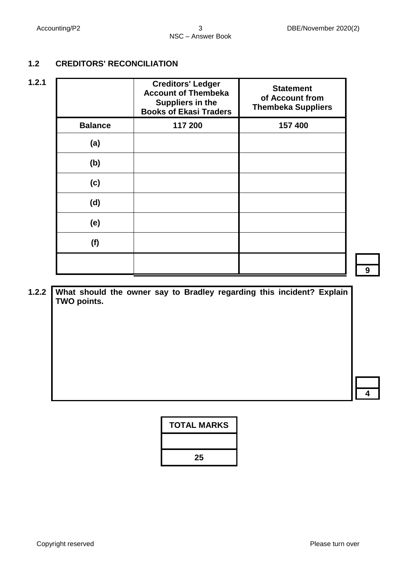## **1.2 CREDITORS' RECONCILIATION**

| 1.2.1 |                | <b>Creditors' Ledger</b><br><b>Account of Thembeka</b><br>Suppliers in the<br><b>Books of Ekasi Traders</b> | <b>Statement</b><br>of Account from<br><b>Thembeka Suppliers</b> |
|-------|----------------|-------------------------------------------------------------------------------------------------------------|------------------------------------------------------------------|
|       | <b>Balance</b> | 117 200                                                                                                     | 157 400                                                          |
|       | (a)            |                                                                                                             |                                                                  |
|       | (b)            |                                                                                                             |                                                                  |
|       | (c)            |                                                                                                             |                                                                  |
|       | (d)            |                                                                                                             |                                                                  |
|       | (e)            |                                                                                                             |                                                                  |
|       | (f)            |                                                                                                             |                                                                  |
|       |                |                                                                                                             |                                                                  |

**9**

|  | TWO points. |  |  | 1.2.2   What should the owner say to Bradley regarding this incident? Explain |  |  |
|--|-------------|--|--|-------------------------------------------------------------------------------|--|--|
|  |             |  |  |                                                                               |  |  |
|  |             |  |  |                                                                               |  |  |
|  |             |  |  |                                                                               |  |  |
|  |             |  |  |                                                                               |  |  |

| <b>TOTAL MARKS</b> |
|--------------------|
|                    |
| 25                 |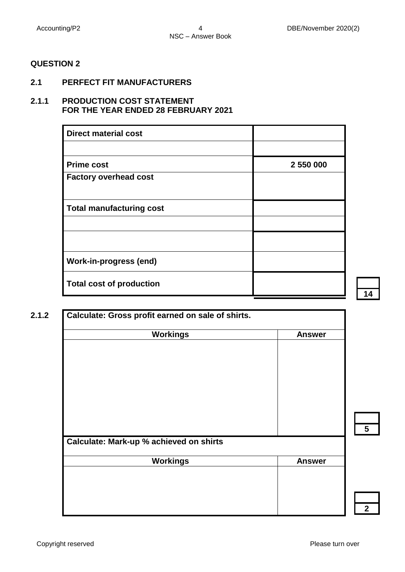### **2.1 PERFECT FIT MANUFACTURERS**

### **2.1.1 PRODUCTION COST STATEMENT FOR THE YEAR ENDED 28 FEBRUARY 2021**

| <b>Direct material cost</b>     |           |
|---------------------------------|-----------|
|                                 |           |
| <b>Prime cost</b>               | 2 550 000 |
| <b>Factory overhead cost</b>    |           |
|                                 |           |
| <b>Total manufacturing cost</b> |           |
|                                 |           |
|                                 |           |
| <b>Work-in-progress (end)</b>   |           |
| <b>Total cost of production</b> |           |

| <b>Workings</b>                         | <b>Answer</b> |
|-----------------------------------------|---------------|
|                                         |               |
|                                         |               |
|                                         |               |
|                                         |               |
|                                         |               |
|                                         |               |
|                                         |               |
|                                         |               |
| Calculate: Mark-up % achieved on shirts |               |
| <b>Workings</b>                         | <b>Answer</b> |
|                                         |               |
|                                         |               |
|                                         |               |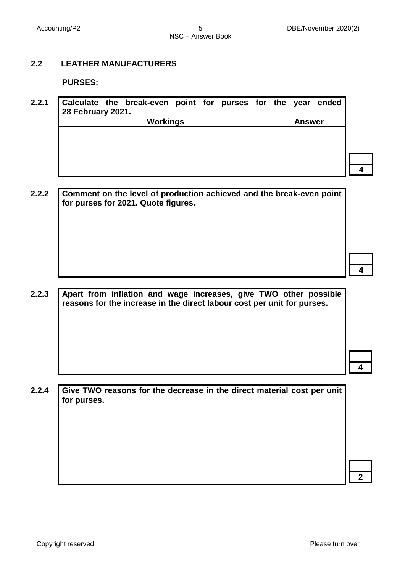#### **2.2 LEATHER MANUFACTURERS**

**PURSES:**

| 2.2.1 | 28 February 2021. | Calculate the break-even point for purses for the year ended |  |  |               |  |
|-------|-------------------|--------------------------------------------------------------|--|--|---------------|--|
|       |                   | <b>Workings</b>                                              |  |  | <b>Answer</b> |  |
|       |                   |                                                              |  |  |               |  |
|       |                   |                                                              |  |  |               |  |
|       |                   |                                                              |  |  |               |  |
|       |                   |                                                              |  |  |               |  |

**2.2.2 Comment on the level of production achieved and the break-even point for purses for 2021. Quote figures.** 

**2.2.3 Apart from inflation and wage increases, give TWO other possible reasons for the increase in the direct labour cost per unit for purses.**

**2.2.4 Give TWO reasons for the decrease in the direct material cost per unit for purses.**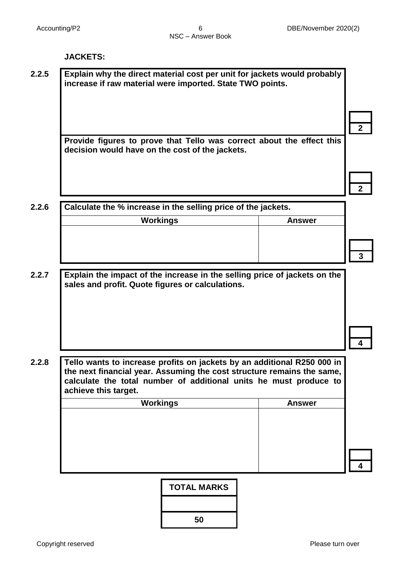#### **JACKETS:**

**2.2.5 Explain why the direct material cost per unit for jackets would probably increase if raw material were imported. State TWO points.**

> **Provide figures to prove that Tello was correct about the effect this decision would have on the cost of the jackets.**

> > **2**

**2**

**2.2.6 Calculate the % increase in the selling price of the jackets.**

- **2.2.7 Explain the impact of the increase in the selling price of jackets on the sales and profit. Quote figures or calculations.**
- **4**

**2.2.8 Tello wants to increase profits on jackets by an additional R250 000 in the next financial year. Assuming the cost structure remains the same, calculate the total number of additional units he must produce to achieve this target.**

| Workings | <b>Answer</b> |
|----------|---------------|
|          |               |
|          |               |
|          |               |
|          |               |
|          |               |
|          |               |



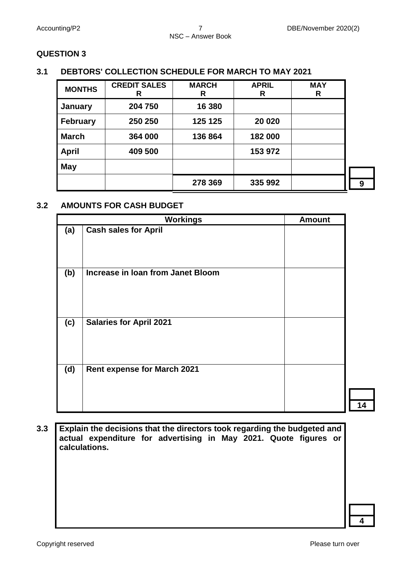## **3.1 DEBTORS' COLLECTION SCHEDULE FOR MARCH TO MAY 2021**

| <b>MONTHS</b>   | <b>CREDIT SALES</b><br>R | <b>MARCH</b><br>R | <b>APRIL</b><br>R | <b>MAY</b><br>R |   |
|-----------------|--------------------------|-------------------|-------------------|-----------------|---|
| January         | 204 750                  | 16 380            |                   |                 |   |
| <b>February</b> | 250 250                  | 125 125           | 20 0 20           |                 |   |
| <b>March</b>    | 364 000                  | 136 864           | 182 000           |                 |   |
| <b>April</b>    | 409 500                  |                   | 153 972           |                 |   |
| <b>May</b>      |                          |                   |                   |                 |   |
|                 |                          | 278 369           | 335 992           |                 | 9 |

## **3.2 AMOUNTS FOR CASH BUDGET**

|     | <b>Workings</b>                    | <b>Amount</b> |
|-----|------------------------------------|---------------|
| (a) | <b>Cash sales for April</b>        |               |
| (b) | Increase in Ioan from Janet Bloom  |               |
| (c) | <b>Salaries for April 2021</b>     |               |
| (d) | <b>Rent expense for March 2021</b> |               |

**3.3 Explain the decisions that the directors took regarding the budgeted and actual expenditure for advertising in May 2021. Quote figures or calculations.**

**4**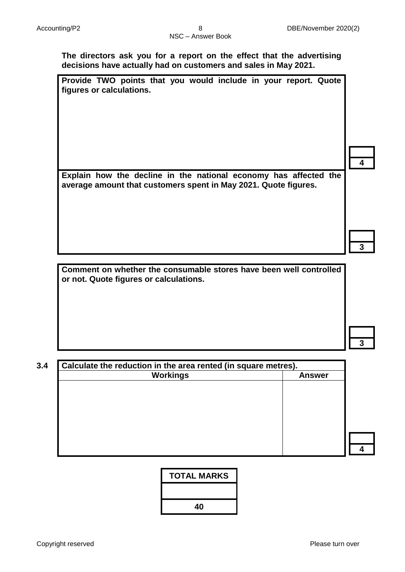**The directors ask you for a report on the effect that the advertising decisions have actually had on customers and sales in May 2021.**

| Provide TWO points that you would include in your report. Quote |  |  |  |  |  |
|-----------------------------------------------------------------|--|--|--|--|--|
| figures or calculations.                                        |  |  |  |  |  |

**Explain how the decline in the national economy has affected the average amount that customers spent in May 2021. Quote figures.**

**Comment on whether the consumable stores have been well controlled or not. Quote figures or calculations.**

**3.4 Calculate the reduction in the area rented (in square metres). Workings Answer**

**4**

**4**

**3**

**3**

**TOTAL MARKS**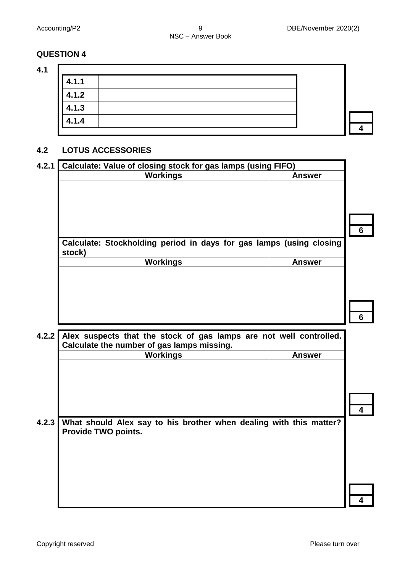**4.1**

| 4.1.1 |  |  |
|-------|--|--|
| 4.1.2 |  |  |
| 4.1.3 |  |  |
| 4.1.4 |  |  |
|       |  |  |

#### **4.2 LOTUS ACCESSORIES**

| Calculate: Value of closing stock for gas lamps (using FIFO)                  |               |
|-------------------------------------------------------------------------------|---------------|
| <b>Workings</b>                                                               | <b>Answer</b> |
|                                                                               |               |
|                                                                               |               |
|                                                                               |               |
|                                                                               |               |
|                                                                               |               |
|                                                                               |               |
|                                                                               |               |
|                                                                               |               |
|                                                                               |               |
|                                                                               | <b>Answer</b> |
| <b>Workings</b>                                                               |               |
|                                                                               |               |
|                                                                               |               |
|                                                                               |               |
| Calculate: Stockholding period in days for gas lamps (using closing<br>stock) |               |
|                                                                               |               |

**4.2.2 Alex suspects that the stock of gas lamps are not well controlled. Calculate the number of gas lamps missing.**

|       | Calculate the number of yas lamps impoing.                                                |  |  |  |  |  |
|-------|-------------------------------------------------------------------------------------------|--|--|--|--|--|
|       | <b>Workings</b><br><b>Answer</b>                                                          |  |  |  |  |  |
|       |                                                                                           |  |  |  |  |  |
|       |                                                                                           |  |  |  |  |  |
| 4.2.3 | What should Alex say to his brother when dealing with this matter?<br>Provide TWO points. |  |  |  |  |  |
|       |                                                                                           |  |  |  |  |  |
|       |                                                                                           |  |  |  |  |  |